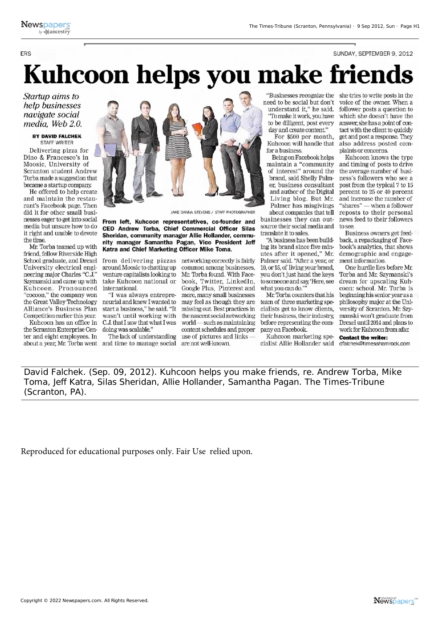**FRS** 

## Kuhcoon helps you make frien

Startup aims to help businesses navigate social media. Web 2.0.

## **BY DAVID FALCHEK STAFF WRITER**

Delivering pizza for Dino & Francesco's in Moosic, University of Scranton student Andrew Torba made a suggestion that became a startup company.

He offered to help create and maintain the restaurant's Facebook page. Then did it for other small businesses eager to get into social media but unsure how to do it right and unable to devote the time.

Mr. Torba teamed up with friend, fellow Riverside High School graduate, and Drexel University electrical engineering major Charles "C.J." Szymanski and came up with Kuhcoon. Pronounced "cocoon," the company won the Great Valley Technology Alliance's Business Plan Competition earlier this year.

Kuhcoon has an office in the Scranton Enterprise Center and eight employees. In



JAKE DANNA STEVENS / STAFF PHOTOGRAPHER

From left, Kuhcoon representatives, co-founder and CEO Andrew Torba, Chief Commercial Officer Silas Sheridan, community manager Allie Hollander, community manager Samantha Pagan, Vice President Jeff Katra and Chief Marketing Officer Mike Toma.

from delivering pizzas networking correctly is fairly around Moosic to chatting up venture capitalists looking to take Kuhcoon national or international.

"I was always entrepreneurial and knew I wanted to start a business," he said. "It wasn't until working with C.J. that I saw that what I was doing was scalable."

The lack of understanding about a year, Mr. Torba went and time to manage social

common among businesses, Mr. Torba found. With Facebook, Twitter, LinkedIn, Google Plus, Pinterest and more, many small businesses may feel as though they are missing out. Best practices in the nascent social networking world — such as maintaining content schedules and proper use of pictures and links are not well-known.

"Businesses recognize the need to be social but don't understand it," he said. "To make it work, you have to be diligent, post every day and create content."

For \$500 per month. Kuhcoon will handle that for a business.

Being on Facebook helps maintain a "community of interest" around the brand, said Shelly Palmer, business consultant and author of the Digital Living blog. But Mr. Palmer has misgivings about companies that tell

businesses they can outsource their social media and translate it to sales

"A business has been building its brand since five minutes after it opened," Mr. Palmer said. "After a year, or 10, or 15, of living your brand, you don't just hand the keys to someone and say, 'Here, see what you can do."

Mr. Torba counters that his team of three marketing specialists get to know clients, their business, their industry. before representing the company on Facebook.

Kuhcoon marketing specialist Allie Hollander said she tries to write posts in the voice of the owner. When a follower posts a question to which she doesn't have the answer, she has a point of contact with the client to quickly get and post a response. They also address posted complaints or concerns.

SUNDAY, SEPTEMBER 9, 2012

Kuhcoon knows the type and timing of posts to drive the average number of business's followers who see a post from the typical 7 to 15 percent to 25 or 40 percent and increase the number of "shares" - when a follower reposts to their personal news feed to their followers to see.

Business owners get feedback, a repackaging of Facebook's analytics, that shows demographic and engagement information.

One hurdle lies before Mr. Torba and Mr. Szymanski's dream for upscaling Kuhcoon: school. Mr. Torba is beginning his senior year as a philosophy major at the University of Scranton. Mr. Szymanski won't graduate from Drexel until 2014 and plans to work for Kuhcoon from afar.

**Contact the writer:** dfalchek@timesshamrock.com

David Falchek. (Sep. 09, 2012). Kuhcoon helps you make friends, re. Andrew Torba, Mike Toma, Jeff Katra, Silas Sheridan, Allie Hollander, Samantha Pagan. The Times-Tribune (Scranton, PA).

Reproduced for educational purposes only. Fair Use relied upon.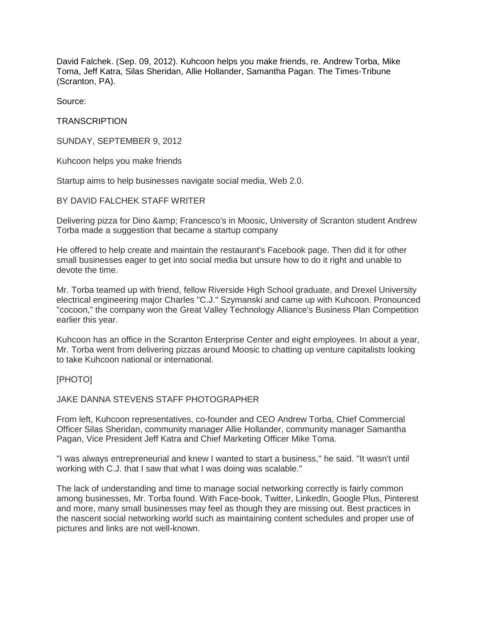David Falchek. (Sep. 09, 2012). Kuhcoon helps you make friends, re. Andrew Torba, Mike Toma, Jeff Katra, Silas Sheridan, Allie Hollander, Samantha Pagan. The Times-Tribune (Scranton, PA).

Source:

**TRANSCRIPTION** 

SUNDAY, SEPTEMBER 9, 2012

Kuhcoon helps you make friends

Startup aims to help businesses navigate social media, Web 2.0.

BY DAVID FALCHEK STAFF WRITER

Delivering pizza for Dino & amp; Francesco's in Moosic, University of Scranton student Andrew Torba made a suggestion that became a startup company

He offered to help create and maintain the restaurant's Facebook page. Then did it for other small businesses eager to get into social media but unsure how to do it right and unable to devote the time.

Mr. Torba teamed up with friend, fellow Riverside High School graduate, and Drexel University electrical engineering major Charles "C.J." Szymanski and came up with Kuhcoon. Pronounced "cocoon," the company won the Great Valley Technology Alliance's Business Plan Competition earlier this year.

Kuhcoon has an office in the Scranton Enterprise Center and eight employees. In about a year, Mr. Torba went from delivering pizzas around Moosic to chatting up venture capitalists looking to take Kuhcoon national or international.

[PHOTO]

JAKE DANNA STEVENS STAFF PHOTOGRAPHER

From left, Kuhcoon representatives, co-founder and CEO Andrew Torba, Chief Commercial Officer Silas Sheridan, community manager Allie Hollander, community manager Samantha Pagan, Vice President Jeff Katra and Chief Marketing Officer Mike Toma.

"I was always entrepreneurial and knew I wanted to start a business," he said. "It wasn't until working with C.J. that I saw that what I was doing was scalable."

The lack of understanding and time to manage social networking correctly is fairly common among businesses, Mr. Torba found. With Face-book, Twitter, Linkedln, Google Plus, Pinterest and more, many small businesses may feel as though they are missing out. Best practices in the nascent social networking world such as maintaining content schedules and proper use of pictures and links are not well-known.